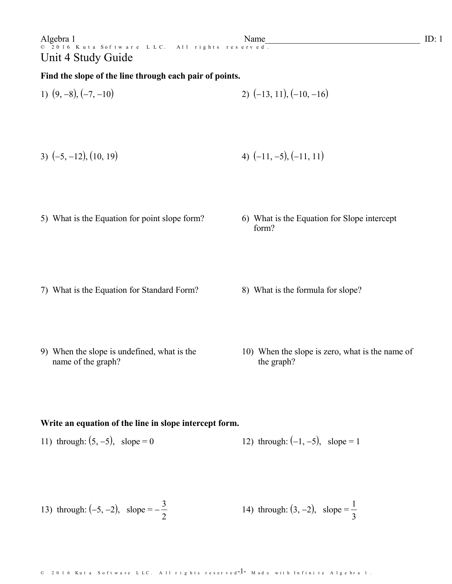**Find the slope of the line through each pair of points.**

$$
1) \quad (9, -8), (-7, -10) \qquad \qquad 2) \quad (-13, 11), (-10, -16)
$$

3)  $(-5, -12)$ ,  $(10, 19)$  4)  $(-11, -5)$ ,  $(-11, 11)$ 

- 5) What is the Equation for point slope form? 6) What is the Equation for Slope intercept
- form?
- 7) What is the Equation for Standard Form? 8) What is the formula for slope?
- 9) When the slope is undefined, what is the name of the graph?
- 10) When the slope is zero, what is the name of the graph?

## **Write an equation of the line in slope intercept form.**

11) through:  $(5, -5)$ , slope = 0 12) through:  $(-1, -5)$ , slope = 1

13) through: 
$$
(-5, -2)
$$
, slope  $= -\frac{3}{2}$  14) through:  $(3, -2)$ , slope  $= \frac{1}{3}$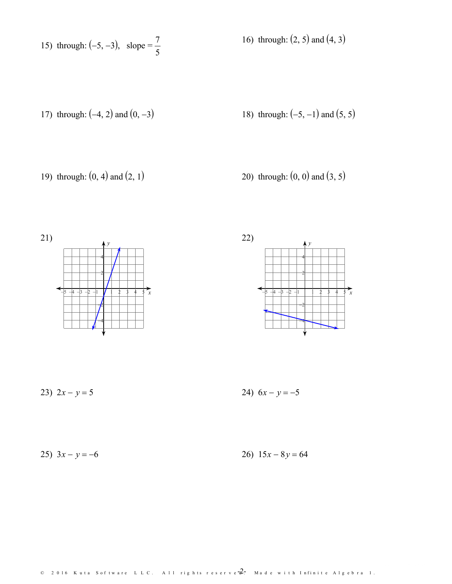15) through: 
$$
(-5, -3)
$$
, slope =  $\frac{7}{5}$ 

16) through:  $(2, 5)$  and  $(4, 3)$ 

17) through:  $(-4, 2)$  and  $(0, -3)$ 

18) through:  $(-5, -1)$  and  $(5, 5)$ 

19) through:  $(0, 4)$  and  $(2, 1)$ 

20) through:  $(0, 0)$  and  $(3, 5)$ 

 $\overrightarrow{x}$ 



23)  $2x - y = 5$ 

24)  $6x - y = -5$ 

25)  $3x - y = -6$ 

26)  $15x - 8y = 64$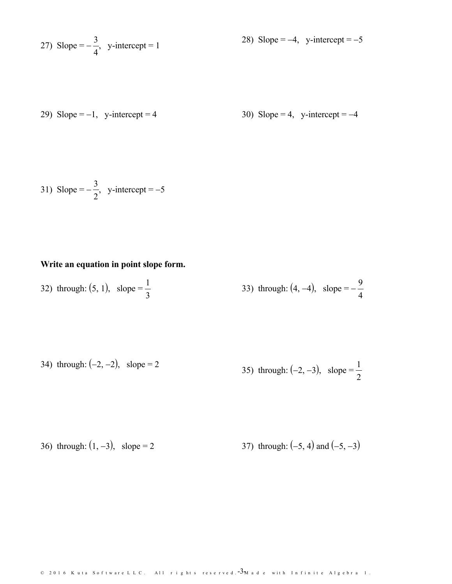27) Slope = 
$$
-\frac{3}{4}
$$
, y-intercept = 1

28) Slope = 
$$
-4
$$
, y-intercept =  $-5$ 

29) Slope = 
$$
-1
$$
, y-intercept = 4

$$
30) \text{ Slope} = 4, \text{ y-intercept} = -4
$$

31) Slope = 
$$
-\frac{3}{2}
$$
, y-intercept = -5

## **Write an equation in point slope form.**

32) through: (5, 1), slope = 
$$
\frac{1}{3}
$$
 33) through: (4, -4), slope =  $-\frac{9}{4}$ 

34) through: 
$$
(-2, -2)
$$
, slope = 2  
35) through:  $(-2, -3)$ , slope =  $\frac{1}{2}$ 

36) through:  $(1, -3)$ , slope = 2 37) through:  $(-5, 4)$  and  $(-5, -3)$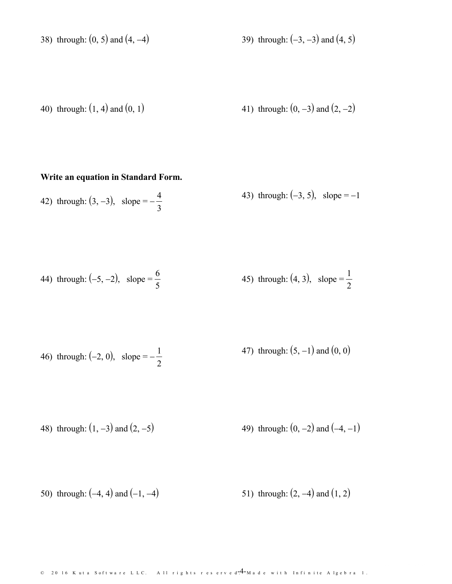38) through: 
$$
(0, 5)
$$
 and  $(4, -4)$ 

38) through: 
$$
(0, 5)
$$
 and  $(4, -4)$  39) through:  $(-3, -3)$  and  $(4, 5)$ 

40) through: 
$$
(1, 4)
$$
 and  $(0, 1)$  41) through:  $(0, -3)$  and  $(2, -2)$ 

## **Write an equation in Standard Form.**

42) through: 
$$
(3, -3)
$$
, slope =  $-\frac{4}{3}$  43) through:  $(-3, 5)$ , slope = -1

44) through: (-5, -2), slope = 
$$
\frac{6}{5}
$$
 45) through: (4, 3), slope =  $\frac{1}{2}$ 

46) through: (-2, 0), slope = 
$$
-\frac{1}{2}
$$
 47) through: (5, -1) and (0, 0)

48) through:  $(1, -3)$  and  $(2, -5)$  49) through:  $(0, -2)$  and  $(-4, -1)$ 

50) through:  $(-4, 4)$  and  $(-1, -4)$  51) through:  $(2, -4)$  and  $(1, 2)$